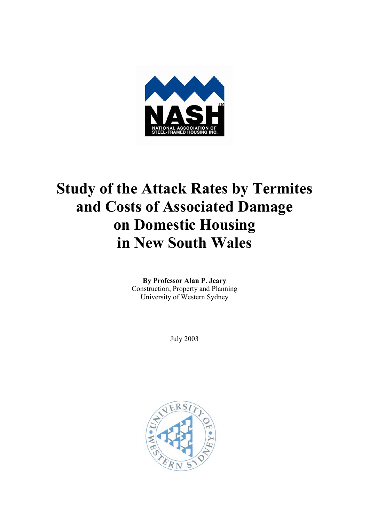

# **Study of the Attack Rates by Termites and Costs of Associated Damage on Domestic Housing in New South Wales**

**By Professor Alan P. Jeary**  Construction, Property and Planning University of Western Sydney

July 2003

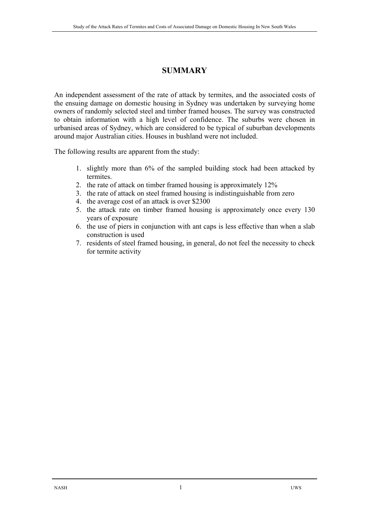### **SUMMARY**

An independent assessment of the rate of attack by termites, and the associated costs of the ensuing damage on domestic housing in Sydney was undertaken by surveying home owners of randomly selected steel and timber framed houses. The survey was constructed to obtain information with a high level of confidence. The suburbs were chosen in urbanised areas of Sydney, which are considered to be typical of suburban developments around major Australian cities. Houses in bushland were not included.

The following results are apparent from the study:

- 1. slightly more than 6% of the sampled building stock had been attacked by termites.
- 2. the rate of attack on timber framed housing is approximately 12%
- 3. the rate of attack on steel framed housing is indistinguishable from zero
- 4. the average cost of an attack is over \$2300
- 5. the attack rate on timber framed housing is approximately once every 130 years of exposure
- 6. the use of piers in conjunction with ant caps is less effective than when a slab construction is used
- 7. residents of steel framed housing, in general, do not feel the necessity to check for termite activity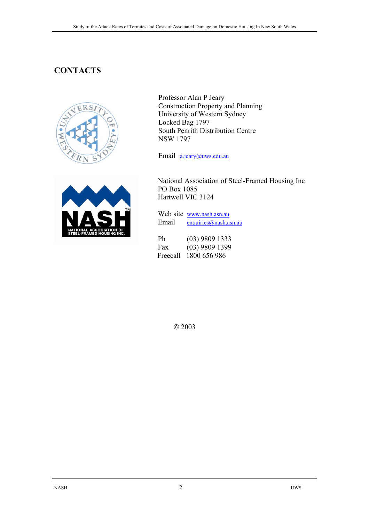# **CONTACTS**





Professor Alan P Jeary Construction Property and Planning University of Western Sydney Locked Bag 1797 South Penrith Distribution Centre NSW 1797

Email a.jeary@uws.edu.au

 National Association of Steel-Framed Housing Inc PO Box 1085 Hartwell VIC 3124

 Web site www.nash.asn.au Email enquiries@nash.asn.au

 Ph (03) 9809 1333 Fax (03) 9809 1399 Freecall 1800 656 986

© 2003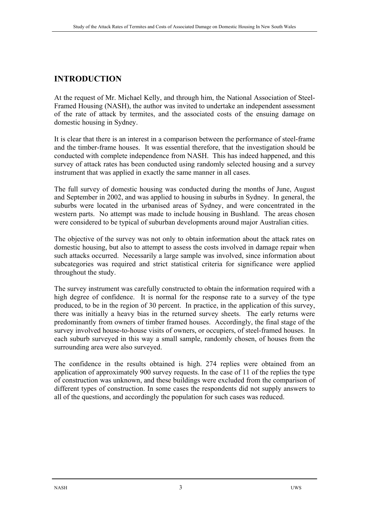# **INTRODUCTION**

At the request of Mr. Michael Kelly, and through him, the National Association of Steel-Framed Housing (NASH), the author was invited to undertake an independent assessment of the rate of attack by termites, and the associated costs of the ensuing damage on domestic housing in Sydney.

It is clear that there is an interest in a comparison between the performance of steel-frame and the timber-frame houses. It was essential therefore, that the investigation should be conducted with complete independence from NASH. This has indeed happened, and this survey of attack rates has been conducted using randomly selected housing and a survey instrument that was applied in exactly the same manner in all cases.

The full survey of domestic housing was conducted during the months of June, August and September in 2002, and was applied to housing in suburbs in Sydney. In general, the suburbs were located in the urbanised areas of Sydney, and were concentrated in the western parts. No attempt was made to include housing in Bushland. The areas chosen were considered to be typical of suburban developments around major Australian cities.

The objective of the survey was not only to obtain information about the attack rates on domestic housing, but also to attempt to assess the costs involved in damage repair when such attacks occurred. Necessarily a large sample was involved, since information about subcategories was required and strict statistical criteria for significance were applied throughout the study.

The survey instrument was carefully constructed to obtain the information required with a high degree of confidence. It is normal for the response rate to a survey of the type produced, to be in the region of 30 percent. In practice, in the application of this survey, there was initially a heavy bias in the returned survey sheets. The early returns were predominantly from owners of timber framed houses. Accordingly, the final stage of the survey involved house-to-house visits of owners, or occupiers, of steel-framed houses. In each suburb surveyed in this way a small sample, randomly chosen, of houses from the surrounding area were also surveyed.

The confidence in the results obtained is high. 274 replies were obtained from an application of approximately 900 survey requests. In the case of 11 of the replies the type of construction was unknown, and these buildings were excluded from the comparison of different types of construction. In some cases the respondents did not supply answers to all of the questions, and accordingly the population for such cases was reduced.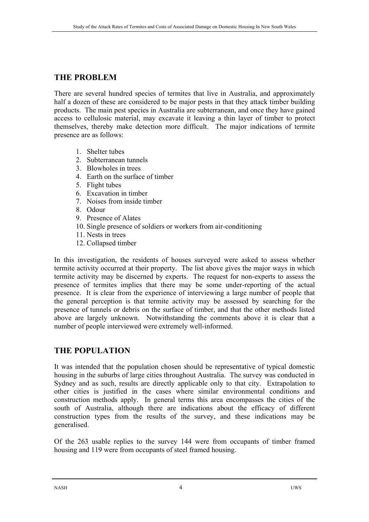# **THE PROBLEM**

There are several hundred species of termites that live in Australia, and approximately half a dozen of these are considered to be major pests in that they attack timber building products. The main pest species in Australia are subterranean, and once they have gained access to cellulosic material, may excavate it leaving a thin layer of timber to protect themselves, thereby make detection more difficult. The major indications of termite presence are as follows:

- 1. Shelter tubes
- 2. Subterranean tunnels
- 3. Blowholes in trees
- 4. Earth on the surface of timber
- 5. Flight tubes
- 6. Excavation in timber
- 7. Noises from inside timber
- 8. Odour
- 9. Presence of Alates
- 10. Single presence of soldiers or workers from air-conditioning
- 11. Nests in trees
- 12. Collapsed timber

In this investigation, the residents of houses surveyed were asked to assess whether termite activity occurred at their property. The list above gives the major ways in which termite activity may be discerned by experts. The request for non-experts to assess the presence of termites implies that there may be some under-reporting of the actual presence. It is clear from the experience of interviewing a large number of people that the general perception is that termite activity may be assessed by searching for the presence of tunnels or debris on the surface of timber, and that the other methods listed above are largely unknown. Notwithstanding the comments above it is clear that a number of people interviewed were extremely well-informed.

### **THE POPULATION**

It was intended that the population chosen should be representative of typical domestic housing in the suburbs of large cities throughout Australia. The survey was conducted in Sydney and as such, results are directly applicable only to that city. Extrapolation to other cities is justified in the cases where similar environmental conditions and construction methods apply. In general terms this area encompasses the cities of the south of Australia, although there are indications about the efficacy of different construction types from the results of the survey, and these indications may be generalised.

Of the 263 usable replies to the survey 144 were from occupants of timber framed housing and 119 were from occupants of steel framed housing.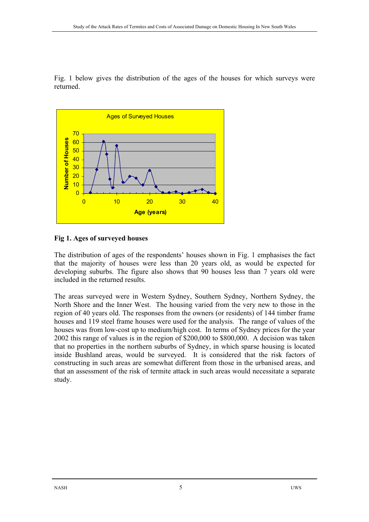Fig. 1 below gives the distribution of the ages of the houses for which surveys were returned.



### **Fig 1. Ages of surveyed houses**

The distribution of ages of the respondents' houses shown in Fig. 1 emphasises the fact that the majority of houses were less than 20 years old, as would be expected for developing suburbs. The figure also shows that 90 houses less than 7 years old were included in the returned results.

The areas surveyed were in Western Sydney, Southern Sydney, Northern Sydney, the North Shore and the Inner West. The housing varied from the very new to those in the region of 40 years old. The responses from the owners (or residents) of 144 timber frame houses and 119 steel frame houses were used for the analysis. The range of values of the houses was from low-cost up to medium/high cost. In terms of Sydney prices for the year 2002 this range of values is in the region of \$200,000 to \$800,000. A decision was taken that no properties in the northern suburbs of Sydney, in which sparse housing is located inside Bushland areas, would be surveyed. It is considered that the risk factors of constructing in such areas are somewhat different from those in the urbanised areas, and that an assessment of the risk of termite attack in such areas would necessitate a separate study.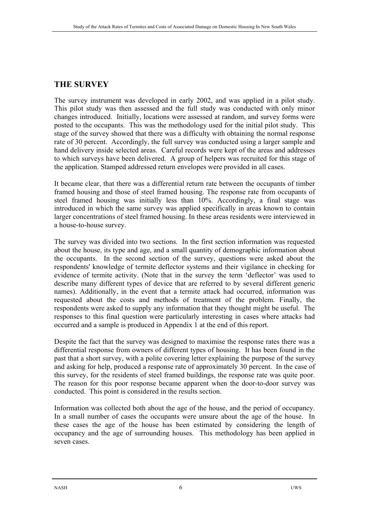## **THE SURVEY**

The survey instrument was developed in early 2002, and was applied in a pilot study. This pilot study was then assessed and the full study was conducted with only minor changes introduced. Initially, locations were assessed at random, and survey forms were posted to the occupants. This was the methodology used for the initial pilot study. This stage of the survey showed that there was a difficulty with obtaining the normal response rate of 30 percent. Accordingly, the full survey was conducted using a larger sample and hand delivery inside selected areas. Careful records were kept of the areas and addresses to which surveys have been delivered. A group of helpers was recruited for this stage of the application. Stamped addressed return envelopes were provided in all cases.

It became clear, that there was a differential return rate between the occupants of timber framed housing and those of steel framed housing. The response rate from occupants of steel framed housing was initially less than 10%. Accordingly, a final stage was introduced in which the same survey was applied specifically in areas known to contain larger concentrations of steel framed housing. In these areas residents were interviewed in a house-to-house survey.

The survey was divided into two sections. In the first section information was requested about the house, its type and age, and a small quantity of demographic information about the occupants. In the second section of the survey, questions were asked about the respondents' knowledge of termite deflector systems and their vigilance in checking for evidence of termite activity. (Note that in the survey the term 'deflector' was used to describe many different types of device that are referred to by several different generic names). Additionally, in the event that a termite attack had occurred, information was requested about the costs and methods of treatment of the problem. Finally, the respondents were asked to supply any information that they thought might be useful. The responses to this final question were particularly interesting in cases where attacks had occurred and a sample is produced in Appendix 1 at the end of this report.

Despite the fact that the survey was designed to maximise the response rates there was a differential response from owners of different types of housing. It has been found in the past that a short survey, with a polite covering letter explaining the purpose of the survey and asking for help, produced a response rate of approximately 30 percent. In the case of this survey, for the residents of steel framed buildings, the response rate was quite poor. The reason for this poor response became apparent when the door-to-door survey was conducted. This point is considered in the results section.

Information was collected both about the age of the house, and the period of occupancy. In a small number of cases the occupants were unsure about the age of the house. In these cases the age of the house has been estimated by considering the length of occupancy and the age of surrounding houses. This methodology has been applied in seven cases.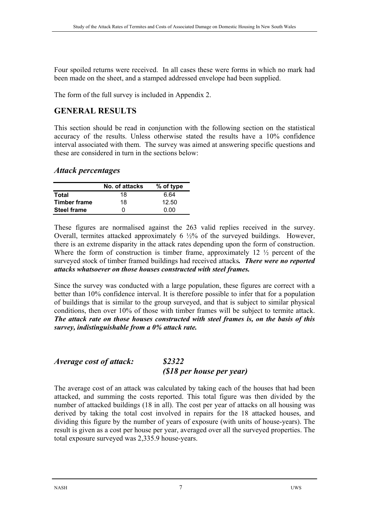Four spoiled returns were received. In all cases these were forms in which no mark had been made on the sheet, and a stamped addressed envelope had been supplied.

The form of the full survey is included in Appendix 2.

# **GENERAL RESULTS**

This section should be read in conjunction with the following section on the statistical accuracy of the results. Unless otherwise stated the results have a 10% confidence interval associated with them. The survey was aimed at answering specific questions and these are considered in turn in the sections below:

#### *Attack percentages*

|                     | No. of attacks | % of type |
|---------------------|----------------|-----------|
| Total               | 18             | 6.64      |
| <b>Timber frame</b> | 18             | 12.50     |
| <b>Steel frame</b>  | 0              | ი იი      |

These figures are normalised against the 263 valid replies received in the survey. Overall, termites attacked approximately 6 ½% of the surveyed buildings. However, there is an extreme disparity in the attack rates depending upon the form of construction. Where the form of construction is timber frame, approximately 12  $\frac{1}{2}$  percent of the surveyed stock of timber framed buildings had received attacks*. There were no reported attacks whatsoever on those houses constructed with steel frames.* 

Since the survey was conducted with a large population, these figures are correct with a better than 10% confidence interval. It is therefore possible to infer that for a population of buildings that is similar to the group surveyed, and that is subject to similar physical conditions, then over 10% of those with timber frames will be subject to termite attack. *The attack rate on those houses constructed with steel frames is, on the basis of this survey, indistinguishable from a 0% attack rate.* 

#### *Average cost of attack: \$2322 (\$18 per house per year)*

The average cost of an attack was calculated by taking each of the houses that had been attacked, and summing the costs reported. This total figure was then divided by the number of attacked buildings (18 in all). The cost per year of attacks on all housing was derived by taking the total cost involved in repairs for the 18 attacked houses, and dividing this figure by the number of years of exposure (with units of house-years). The result is given as a cost per house per year, averaged over all the surveyed properties. The total exposure surveyed was 2,335.9 house-years.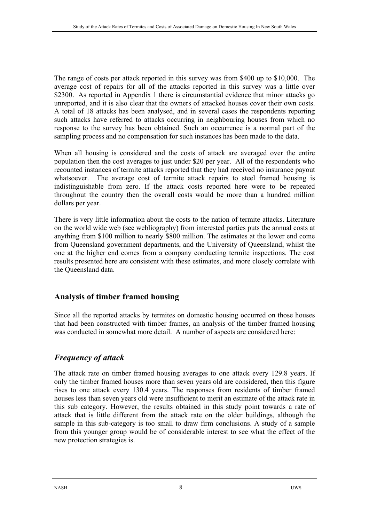The range of costs per attack reported in this survey was from \$400 up to \$10,000. The average cost of repairs for all of the attacks reported in this survey was a little over \$2300. As reported in Appendix 1 there is circumstantial evidence that minor attacks go unreported, and it is also clear that the owners of attacked houses cover their own costs. A total of 18 attacks has been analysed, and in several cases the respondents reporting such attacks have referred to attacks occurring in neighbouring houses from which no response to the survey has been obtained. Such an occurrence is a normal part of the sampling process and no compensation for such instances has been made to the data.

When all housing is considered and the costs of attack are averaged over the entire population then the cost averages to just under \$20 per year. All of the respondents who recounted instances of termite attacks reported that they had received no insurance payout whatsoever. The average cost of termite attack repairs to steel framed housing is indistinguishable from zero. If the attack costs reported here were to be repeated throughout the country then the overall costs would be more than a hundred million dollars per year.

There is very little information about the costs to the nation of termite attacks. Literature on the world wide web (see webliography) from interested parties puts the annual costs at anything from \$100 million to nearly \$800 million. The estimates at the lower end come from Queensland government departments, and the University of Queensland, whilst the one at the higher end comes from a company conducting termite inspections. The cost results presented here are consistent with these estimates, and more closely correlate with the Queensland data.

# **Analysis of timber framed housing**

Since all the reported attacks by termites on domestic housing occurred on those houses that had been constructed with timber frames, an analysis of the timber framed housing was conducted in somewhat more detail. A number of aspects are considered here:

# *Frequency of attack*

The attack rate on timber framed housing averages to one attack every 129.8 years. If only the timber framed houses more than seven years old are considered, then this figure rises to one attack every 130.4 years. The responses from residents of timber framed houses less than seven years old were insufficient to merit an estimate of the attack rate in this sub category. However, the results obtained in this study point towards a rate of attack that is little different from the attack rate on the older buildings, although the sample in this sub-category is too small to draw firm conclusions. A study of a sample from this younger group would be of considerable interest to see what the effect of the new protection strategies is.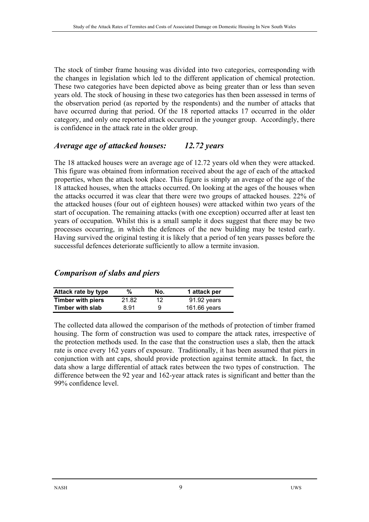The stock of timber frame housing was divided into two categories, corresponding with the changes in legislation which led to the different application of chemical protection. These two categories have been depicted above as being greater than or less than seven years old. The stock of housing in these two categories has then been assessed in terms of the observation period (as reported by the respondents) and the number of attacks that have occurred during that period. Of the 18 reported attacks 17 occurred in the older category, and only one reported attack occurred in the younger group. Accordingly, there is confidence in the attack rate in the older group.

## *Average age of attacked houses: 12.72 years*

The 18 attacked houses were an average age of 12.72 years old when they were attacked. This figure was obtained from information received about the age of each of the attacked properties, when the attack took place. This figure is simply an average of the age of the 18 attacked houses, when the attacks occurred. On looking at the ages of the houses when the attacks occurred it was clear that there were two groups of attacked houses. 22% of the attacked houses (four out of eighteen houses) were attacked within two years of the start of occupation. The remaining attacks (with one exception) occurred after at least ten years of occupation. Whilst this is a small sample it does suggest that there may be two processes occurring, in which the defences of the new building may be tested early. Having survived the original testing it is likely that a period of ten years passes before the successful defences deteriorate sufficiently to allow a termite invasion.

# *Comparison of slabs and piers*

| Attack rate by type      | ℅     | No. | 1 attack per |
|--------------------------|-------|-----|--------------|
| <b>Timber with piers</b> | 21.82 | 12  | 91.92 years  |
| Timber with slab         | 8.91  | 9   | 161.66 years |

The collected data allowed the comparison of the methods of protection of timber framed housing. The form of construction was used to compare the attack rates, irrespective of the protection methods used. In the case that the construction uses a slab, then the attack rate is once every 162 years of exposure. Traditionally, it has been assumed that piers in conjunction with ant caps, should provide protection against termite attack. In fact, the data show a large differential of attack rates between the two types of construction. The difference between the 92 year and 162-year attack rates is significant and better than the 99% confidence level.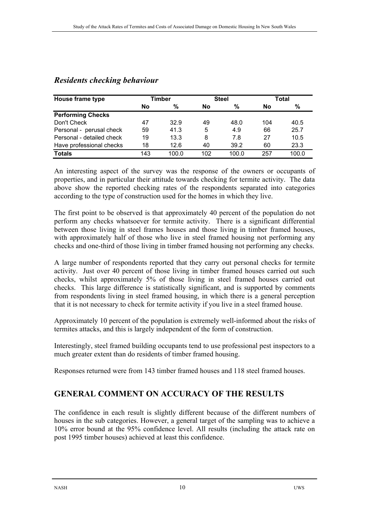| House frame type          | Timber |       | <b>Steel</b> |       | Total |       |
|---------------------------|--------|-------|--------------|-------|-------|-------|
|                           | No     | %     | No           | %     | No    | %     |
| <b>Performing Checks</b>  |        |       |              |       |       |       |
| Don't Check               | 47     | 32.9  | 49           | 48.0  | 104   | 40.5  |
| Personal - perusal check  | 59     | 41.3  | 5            | 4.9   | 66    | 25.7  |
| Personal - detailed check | 19     | 13.3  | 8            | 7.8   | 27    | 10.5  |
| Have professional checks  | 18     | 12.6  | 40           | 39.2  | 60    | 23.3  |
| <b>Totals</b>             | 143    | 100.0 | 102          | 100.0 | 257   | 100.0 |

### *Residents checking behaviour*

An interesting aspect of the survey was the response of the owners or occupants of properties, and in particular their attitude towards checking for termite activity. The data above show the reported checking rates of the respondents separated into categories according to the type of construction used for the homes in which they live.

The first point to be observed is that approximately 40 percent of the population do not perform any checks whatsoever for termite activity. There is a significant differential between those living in steel frames houses and those living in timber framed houses, with approximately half of those who live in steel framed housing not performing any checks and one-third of those living in timber framed housing not performing any checks.

A large number of respondents reported that they carry out personal checks for termite activity. Just over 40 percent of those living in timber framed houses carried out such checks, whilst approximately 5% of those living in steel framed houses carried out checks. This large difference is statistically significant, and is supported by comments from respondents living in steel framed housing, in which there is a general perception that it is not necessary to check for termite activity if you live in a steel framed house.

Approximately 10 percent of the population is extremely well-informed about the risks of termites attacks, and this is largely independent of the form of construction.

Interestingly, steel framed building occupants tend to use professional pest inspectors to a much greater extent than do residents of timber framed housing.

Responses returned were from 143 timber framed houses and 118 steel framed houses.

# **GENERAL COMMENT ON ACCURACY OF THE RESULTS**

The confidence in each result is slightly different because of the different numbers of houses in the sub categories. However, a general target of the sampling was to achieve a 10% error bound at the 95% confidence level. All results (including the attack rate on post 1995 timber houses) achieved at least this confidence.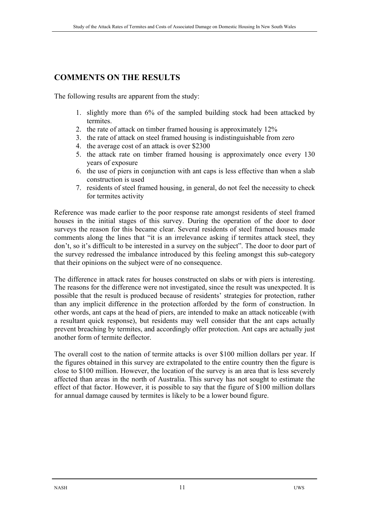# **COMMENTS ON THE RESULTS**

The following results are apparent from the study:

- 1. slightly more than 6% of the sampled building stock had been attacked by termites.
- 2. the rate of attack on timber framed housing is approximately 12%
- 3. the rate of attack on steel framed housing is indistinguishable from zero
- 4. the average cost of an attack is over \$2300
- 5. the attack rate on timber framed housing is approximately once every 130 years of exposure
- 6. the use of piers in conjunction with ant caps is less effective than when a slab construction is used
- 7. residents of steel framed housing, in general, do not feel the necessity to check for termites activity

Reference was made earlier to the poor response rate amongst residents of steel framed houses in the initial stages of this survey. During the operation of the door to door surveys the reason for this became clear. Several residents of steel framed houses made comments along the lines that "it is an irrelevance asking if termites attack steel, they don't, so it's difficult to be interested in a survey on the subject". The door to door part of the survey redressed the imbalance introduced by this feeling amongst this sub-category that their opinions on the subject were of no consequence.

The difference in attack rates for houses constructed on slabs or with piers is interesting. The reasons for the difference were not investigated, since the result was unexpected. It is possible that the result is produced because of residents' strategies for protection, rather than any implicit difference in the protection afforded by the form of construction. In other words, ant caps at the head of piers, are intended to make an attack noticeable (with a resultant quick response), but residents may well consider that the ant caps actually prevent breaching by termites, and accordingly offer protection. Ant caps are actually just another form of termite deflector.

The overall cost to the nation of termite attacks is over \$100 million dollars per year. If the figures obtained in this survey are extrapolated to the entire country then the figure is close to \$100 million. However, the location of the survey is an area that is less severely affected than areas in the north of Australia. This survey has not sought to estimate the effect of that factor. However, it is possible to say that the figure of \$100 million dollars for annual damage caused by termites is likely to be a lower bound figure.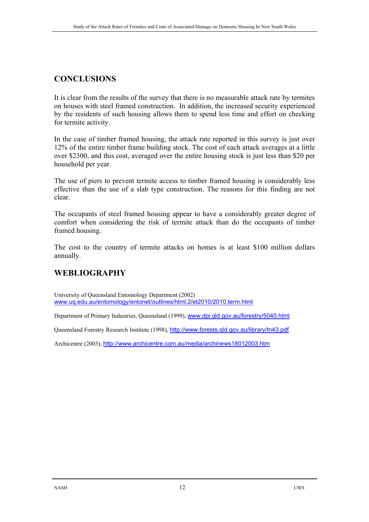# **CONCLUSIONS**

It is clear from the results of the survey that there is no measurable attack rate by termites on houses with steel framed construction. In addition, the increased security experienced by the residents of such housing allows them to spend less time and effort on checking for termite activity.

In the case of timber framed housing, the attack rate reported in this survey is just over 12% of the entire timber frame building stock. The cost of each attack averages at a little over \$2300, and this cost, averaged over the entire housing stock is just less than \$20 per household per year.

The use of piers to prevent termite access to timber framed housing is considerably less effective than the use of a slab type construction. The reasons for this finding are not clear.

The occupants of steel framed housing appear to have a considerably greater degree of comfort when considering the risk of termite attack than do the occupants of timber framed housing.

The cost to the country of termite attacks on homes is at least \$100 million dollars annually.

# **WEBLIOGRAPHY**

University of Queensland Entomology Department (2002) www.uq.edu.au/entomology/entonet/outlines/html.2/et2010/2010.term.html

Department of Primary Industries, Queensland (1999), www.dpi.qld.gov.au/forestry/5040.html

Queensland Forestry Research Institute (1998), http://www.forests.qld.gov.au/library/tn43.pdf

Archicentre (2003), http://www.archicentre.com.au/media/archinews18012003.htm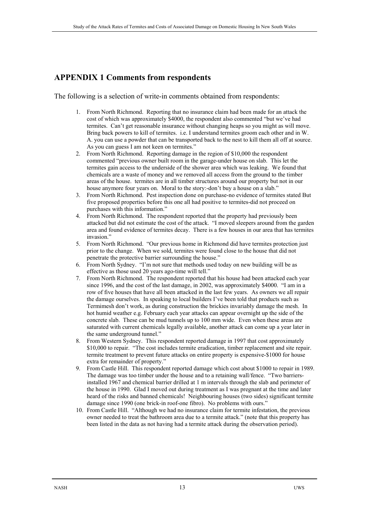## **APPENDIX 1 Comments from respondents**

The following is a selection of write-in comments obtained from respondents:

- 1. From North Richmond. Reporting that no insurance claim had been made for an attack the cost of which was approximately \$4000, the respondent also commented "but we've had termites. Can't get reasonable insurance without changing heaps so you might as will move. Bring back powers to kill of termites. i.e. I understand termites groom each other and in W. A. you can use a powder that can be transported back to the nest to kill them all off at source. As you can guess I am not keen on termites."
- 2. From North Richmond. Reporting damage in the region of \$10,000 the respondent commented "previous owner built room in the garage-under house on slab. This let the termites gain access to the underside of the shower area which was leaking. We found that chemicals are a waste of money and we removed all access from the ground to the timber areas of the house. termites are in all timber structures around our property but not in our house anymore four years on. Moral to the story:-don't buy a house on a slab."
- 3. From North Richmond. Pest inspection done on purchase-no evidence of termites stated But five proposed properties before this one all had positive to termites-did not proceed on purchases with this information."
- 4. From North Richmond. The respondent reported that the property had previously been attacked but did not estimate the cost of the attack. "I moved sleepers around from the garden area and found evidence of termites decay. There is a few houses in our area that has termites invasion."
- 5. From North Richmond. "Our previous home in Richmond did have termites protection just prior to the change. When we sold, termites were found close to the house that did not penetrate the protective barrier surrounding the house."
- 6. From North Sydney. "I'm not sure that methods used today on new building will be as effective as those used 20 years ago-time will tell."
- 7. From North Richmond. The respondent reported that his house had been attacked each year since 1996, and the cost of the last damage, in 2002, was approximately \$4000. "I am in a row of five houses that have all been attacked in the last few years. As owners we all repair the damage ourselves. In speaking to local builders I've been told that products such as Termimesh don't work, as during construction the brickies invariably damage the mesh. In hot humid weather e.g. February each year attacks can appear overnight up the side of the concrete slab. These can be mud tunnels up to 100 mm wide. Even when these areas are saturated with current chemicals legally available, another attack can come up a year later in the same underground tunnel."
- 8. From Western Sydney. This respondent reported damage in 1997 that cost approximately \$10,000 to repair. "The cost includes termite eradication, timber replacement and site repair. termite treatment to prevent future attacks on entire property is expensive-\$1000 for house extra for remainder of property."
- 9. From Castle Hill. This respondent reported damage which cost about \$1000 to repair in 1989. The damage was too timber under the house and to a retaining wall/fence. "Two barriersinstalled 1967 and chemical barrier drilled at 1 m intervals through the slab and perimeter of the house in 1990. Glad I moved out during treatment as I was pregnant at the time and later heard of the risks and banned chemicals! Neighbouring houses (two sides) significant termite damage since 1990 (one brick-in roof-one fibro). No problems with ours."
- 10. From Castle Hill. "Although we had no insurance claim for termite infestation, the previous owner needed to treat the bathroom area due to a termite attack." (note that this property has been listed in the data as not having had a termite attack during the observation period).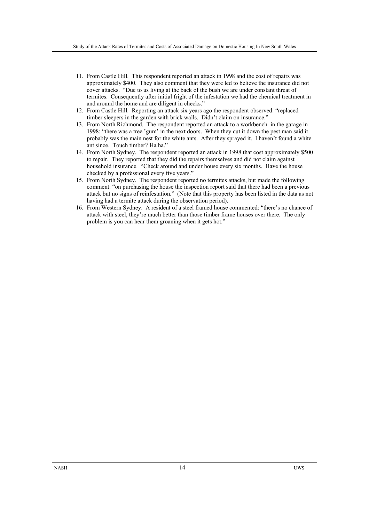- 11. From Castle Hill. This respondent reported an attack in 1998 and the cost of repairs was approximately \$400. They also comment that they were led to believe the insurance did not cover attacks. "Due to us living at the back of the bush we are under constant threat of termites. Consequently after initial fright of the infestation we had the chemical treatment in and around the home and are diligent in checks."
- 12. From Castle Hill. Reporting an attack six years ago the respondent observed: "replaced timber sleepers in the garden with brick walls. Didn't claim on insurance."
- 13. From North Richmond. The respondent reported an attack to a workbench in the garage in 1998: "there was a tree 'gum' in the next doors. When they cut it down the pest man said it probably was the main nest for the white ants. After they sprayed it. I haven't found a white ant since. Touch timber? Ha ha."
- 14. From North Sydney. The respondent reported an attack in 1998 that cost approximately \$500 to repair. They reported that they did the repairs themselves and did not claim against household insurance. "Check around and under house every six months. Have the house checked by a professional every five years."
- 15. From North Sydney. The respondent reported no termites attacks, but made the following comment: "on purchasing the house the inspection report said that there had been a previous attack but no signs of reinfestation." (Note that this property has been listed in the data as not having had a termite attack during the observation period).
- 16. From Western Sydney. A resident of a steel framed house commented: "there's no chance of attack with steel, they're much better than those timber frame houses over there. The only problem is you can hear them groaning when it gets hot."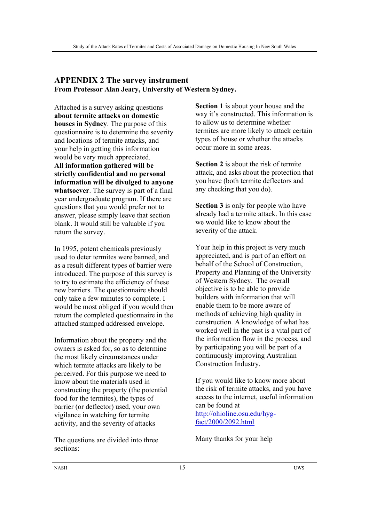#### **APPENDIX 2 The survey instrument From Professor Alan Jeary, University of Western Sydney.**

Attached is a survey asking questions **about termite attacks on domestic houses in Sydney**. The purpose of this questionnaire is to determine the severity and locations of termite attacks, and your help in getting this information would be very much appreciated. **All information gathered will be strictly confidential and no personal information will be divulged to anyone whatsoever**. The survey is part of a final year undergraduate program. If there are questions that you would prefer not to answer, please simply leave that section blank. It would still be valuable if you return the survey.

In 1995, potent chemicals previously used to deter termites were banned, and as a result different types of barrier were introduced. The purpose of this survey is to try to estimate the efficiency of these new barriers. The questionnaire should only take a few minutes to complete. I would be most obliged if you would then return the completed questionnaire in the attached stamped addressed envelope.

Information about the property and the owners is asked for, so as to determine the most likely circumstances under which termite attacks are likely to be perceived. For this purpose we need to know about the materials used in constructing the property (the potential food for the termites), the types of barrier (or deflector) used, your own vigilance in watching for termite activity, and the severity of attacks

The questions are divided into three sections:

**Section 1** is about your house and the way it's constructed. This information is to allow us to determine whether termites are more likely to attack certain types of house or whether the attacks occur more in some areas.

**Section 2** is about the risk of termite attack, and asks about the protection that you have (both termite deflectors and any checking that you do).

**Section 3** is only for people who have already had a termite attack. In this case we would like to know about the severity of the attack.

Your help in this project is very much appreciated, and is part of an effort on behalf of the School of Construction, Property and Planning of the University of Western Sydney. The overall objective is to be able to provide builders with information that will enable them to be more aware of methods of achieving high quality in construction. A knowledge of what has worked well in the past is a vital part of the information flow in the process, and by participating you will be part of a continuously improving Australian Construction Industry.

If you would like to know more about the risk of termite attacks, and you have access to the internet, useful information can be found at http://ohioline.osu.edu/hygfact/2000/2092.html

Many thanks for your help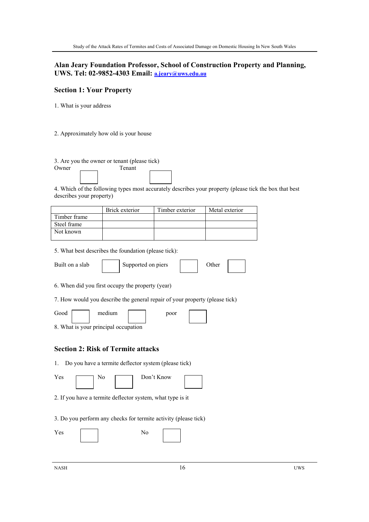#### **Alan Jeary Foundation Professor, School of Construction Property and Planning, UWS. Tel: 02-9852-4303 Email: a.jeary@uws.edu.au**

#### **Section 1: Your Property**

1. What is your address

2. Approximately how old is your house

| 3. Are you the owner or tenant (please tick)                                                           |
|--------------------------------------------------------------------------------------------------------|
| Tenant<br>Owner                                                                                        |
|                                                                                                        |
|                                                                                                        |
| 4. Which of the following types most accurately describes your property (please tick the box that best |
| describes your property)                                                                               |

|              | Brick exterior | Timber exterior | Metal exterior |
|--------------|----------------|-----------------|----------------|
| Timber frame |                |                 |                |
| Steel frame  |                |                 |                |
| Not known    |                |                 |                |

5. What best describes the foundation (please tick):

| Built on a slab |  | Supported on piers |  | <b>Other</b> |  |  |
|-----------------|--|--------------------|--|--------------|--|--|
|-----------------|--|--------------------|--|--------------|--|--|

6. When did you first occupy the property (year)

7. How would you describe the general repair of your property (please tick)

Good medium poor

8. What is your principal occupation

#### **Section 2: Risk of Termite attacks**

1. Do you have a termite deflector system (please tick)

| <b>T</b><br>Yes. | No | Don't |
|------------------|----|-------|
|                  |    |       |

| : Know |  |
|--------|--|
|        |  |

2. If you have a termite deflector system, what type is it

3. Do you perform any checks for termite activity (please tick)

| 'es |  | ŧν |  |
|-----|--|----|--|
|     |  |    |  |

 $NASH$  and  $16$  uws